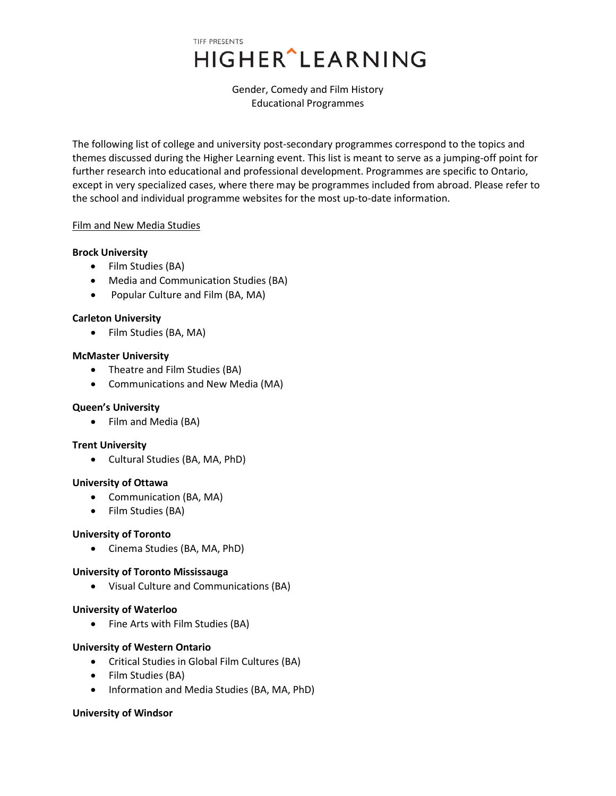# TIFF PRESENTS HIGHER^LEARNING

Gender, Comedy and Film History Educational Programmes

The following list of college and university post-secondary programmes correspond to the topics and themes discussed during the Higher Learning event. This list is meant to serve as a jumping-off point for further research into educational and professional development. Programmes are specific to Ontario, except in very specialized cases, where there may be programmes included from abroad. Please refer to the school and individual programme websites for the most up-to-date information.

### Film and New Media Studies

#### **Brock University**

- Film Studies (BA)
- Media and Communication Studies (BA)
- Popular Culture and Film (BA, MA)

### **Carleton University**

• Film Studies (BA, MA)

#### **McMaster University**

- Theatre and Film Studies (BA)
- Communications and New Media (MA)

### **Queen's University**

• Film and Media (BA)

### **Trent University**

• Cultural Studies (BA, MA, PhD)

#### **University of Ottawa**

- Communication (BA, MA)
- Film Studies (BA)

### **University of Toronto**

• Cinema Studies (BA, MA, PhD)

### **University of Toronto Mississauga**

• Visual Culture and Communications (BA)

### **University of Waterloo**

• Fine Arts with Film Studies (BA)

#### **University of Western Ontario**

- Critical Studies in Global Film Cultures (BA)
- Film Studies (BA)
- Information and Media Studies (BA, MA, PhD)

#### **University of Windsor**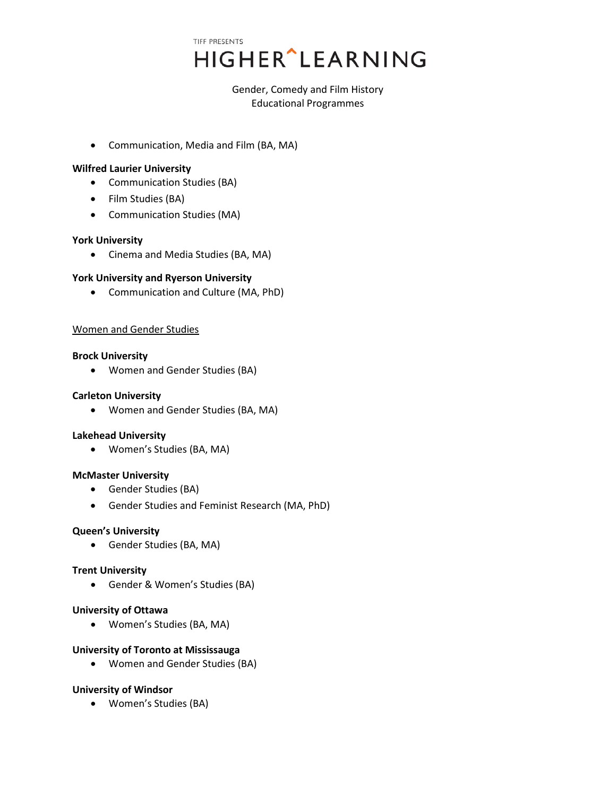# TIFF PRESENTS **HIGHER**<sup>^</sup>LEARNING

Gender, Comedy and Film History Educational Programmes

• Communication, Media and Film (BA, MA)

## **Wilfred Laurier University**

- Communication Studies (BA)
- Film Studies (BA)
- Communication Studies (MA)

## **York University**

• Cinema and Media Studies (BA, MA)

# **York University and Ryerson University**

• Communication and Culture (MA, PhD)

### Women and Gender Studies

### **Brock University**

• Women and Gender Studies (BA)

### **Carleton University**

• Women and Gender Studies (BA, MA)

### **Lakehead University**

• Women's Studies (BA, MA)

### **McMaster University**

- Gender Studies (BA)
- Gender Studies and Feminist Research (MA, PhD)

### **Queen's University**

• Gender Studies (BA, MA)

### **Trent University**

• Gender & Women's Studies (BA)

### **University of Ottawa**

• Women's Studies (BA, MA)

### **University of Toronto at Mississauga**

• Women and Gender Studies (BA)

### **University of Windsor**

• Women's Studies (BA)